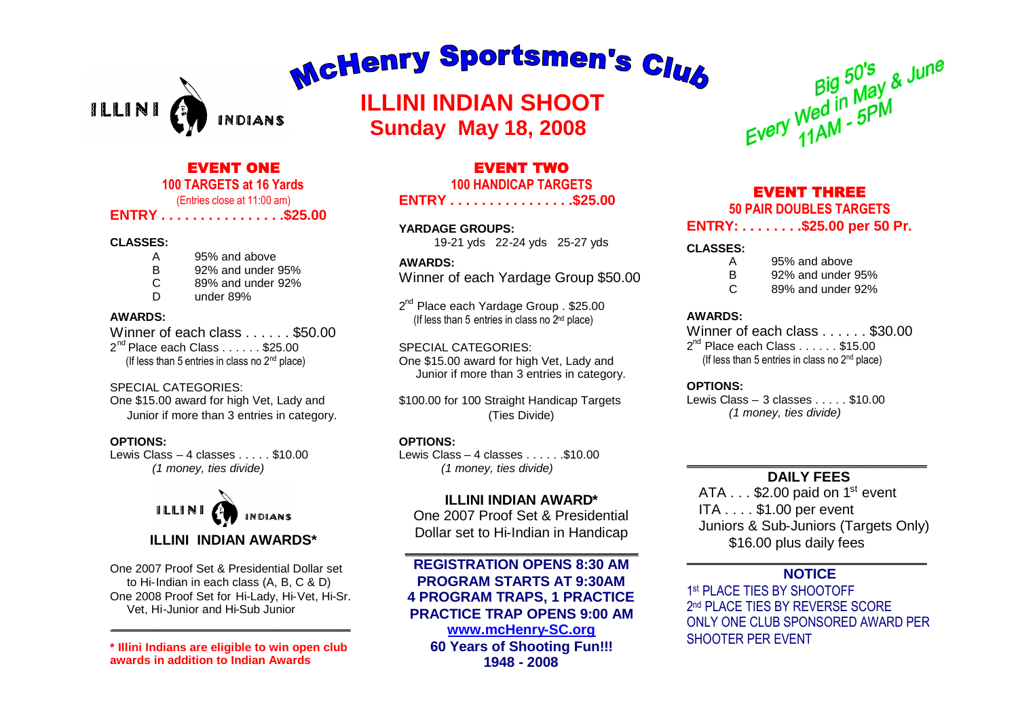# McHenry Sportsmen's Club

ILLINI *INDIANS* 

# **ILLINI INDIAN SHOOT Sunday May 18, 2008**

# EVENT ONE

#### **100 TARGETS at 16 Yards** (Entries close at 11:00 am)

**ENTRY . . . . . . . . . . . . . . . .\$25.00**

#### **CLASSES:**

- A 95% and above
- B 92% and under 95%
- C 89% and under 92%
- D under 89%

#### **AWARDS:**

Winner of each class . . . . . . \$50.00 2<sup>nd</sup> Place each Class . . . . . . \$25.00 (If less than 5 entries in class no  $2<sup>nd</sup>$  place)

#### SPECIAL CATEGORIES:

One \$15.00 award for high Vet, Lady and Junior if more than 3 entries in category.

#### **OPTIONS:**

Lewis Class  $-4$  classes  $\ldots$  \$10.00 *(1 money, ties divide)*



# **ILLINI INDIAN AWARDS\***

One 2007 Proof Set & Presidential Dollar set to Hi-Indian in each class (A, B, C & D) One 2008 Proof Set for Hi-Lady, Hi-Vet, Hi-Sr. Vet, Hi-Junior and Hi-Sub Junior

\_\_\_\_\_\_\_\_\_\_\_\_\_\_\_\_\_\_\_\_\_\_\_\_\_\_\_\_\_\_\_\_\_\_

**\* Illini Indians are eligible to win open club awards in addition to Indian Awards**

# EVENT TWO

#### **100 HANDICAP TARGETS**

#### **ENTRY . . . . . . . . . . . . . . . .\$25.00**

**YARDAGE GROUPS:** 19-21 yds 22-24 yds 25-27 yds

# **AWARDS:**

Winner of each Yardage Group \$50.00

2<sup>nd</sup> Place each Yardage Group . \$25.00 (If less than 5 entries in class no 2nd place)

SPECIAL CATEGORIES: One \$15.00 award for high Vet, Lady and Junior if more than 3 entries in category.

\$100.00 for 100 Straight Handicap Targets (Ties Divide)

#### **OPTIONS:**

Lewis Class – 4 classes  $\dots$  . . . . . \$10.00 *(1 money, ties divide)*

## **ILLINI INDIAN AWARD\***

One 2007 Proof Set & Presidential Dollar set to Hi-Indian in Handicap

**\_\_\_\_\_\_\_\_\_\_\_\_\_\_\_\_\_\_\_\_\_\_\_\_\_\_\_\_\_\_\_\_\_**

**REGISTRATION OPENS 8:30 AM PROGRAM STARTS AT 9:30AM 4 PROGRAM TRAPS, 1 PRACTICE PRACTICE TRAP OPENS 9:00 AM www.mcHenry-SC.org 60 Years of Shooting Fun!!! 1948 - 2008**



# EVENT THREE

#### **50 PAIR DOUBLES TARGETS ENTRY: . . . . . . . .\$25.00 per 50 Pr.**

#### **CLASSES:**

- A 95% and above<br>B 92% and under
- 92% and under 95%
- C 89% and under 92%

#### **AWARDS:**

Winner of each class . . . . . . \$30.00 2<sup>nd</sup> Place each Class . . . . . . \$15.00 (If less than 5 entries in class no 2nd place)

#### **OPTIONS:**

Lewis Class – 3 classes . . . . . \$10.00 *(1 money, ties divide)*

#### $\overline{\phantom{a}}$  , where the contract of the contract of the contract of the contract of the contract of the contract of the contract of the contract of the contract of the contract of the contract of the contract of the contr **DAILY FEES**

ATA  $\dots$  \$2.00 paid on 1<sup>st</sup> event ITA . . . . \$1.00 per event Juniors & Sub-Juniors (Targets Only) \$16.00 plus daily fees

#### \_\_\_\_\_\_\_\_\_\_\_\_\_\_\_\_\_\_\_\_\_\_\_\_\_\_\_\_\_\_\_\_\_\_ **NOTICE**

1 st PLACE TIES BY SHOOTOFF 2 nd PLACE TIES BY REVERSE SCORE ONLY ONE CLUB SPONSORED AWARD PER SHOOTER PER EVENT